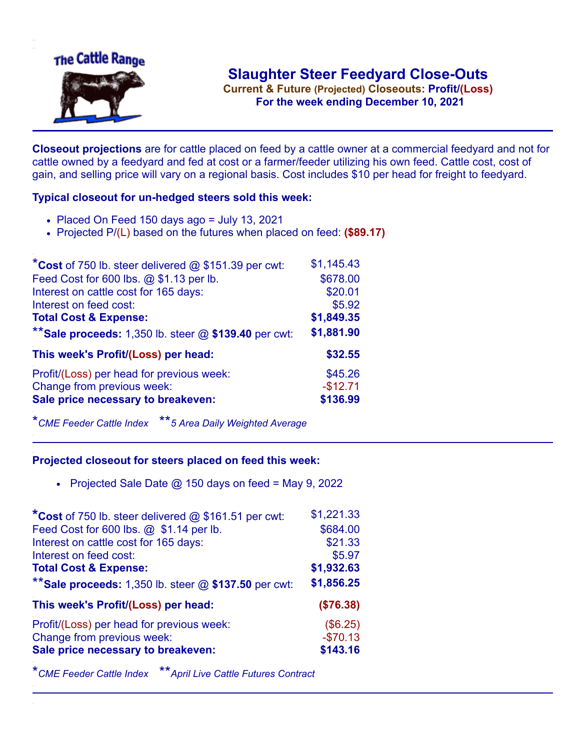

**Current & Future (Projected) Closeouts: Profit/(Loss)** .**For the week ending December 10, 2021**

**Closeout projections** are for cattle placed on feed by a cattle owner at a commercial feedyard and not for cattle owned by a feedyard and fed at cost or a farmer/feeder utilizing his own feed. Cattle cost, cost of gain, and selling price will vary on a regional basis. Cost includes \$10 per head for freight to feedyard.

## **Typical closeout for un-hedged steers sold this week:**

- $\bullet$  Placed On Feed 150 days ago = July 13, 2021
- Projected P/(L) based on the futures when placed on feed: **(\$89.17)**

| *Cost of 750 lb. steer delivered $@$ \$151.39 per cwt:    | \$1,145.43 |
|-----------------------------------------------------------|------------|
| Feed Cost for 600 lbs. @ \$1.13 per lb.                   | \$678.00   |
| Interest on cattle cost for 165 days:                     | \$20.01    |
| Interest on feed cost:                                    | \$5.92     |
| <b>Total Cost &amp; Expense:</b>                          | \$1,849.35 |
| ** Sale proceeds: $1,350$ lb. steer $@$ \$139.40 per cwt: | \$1,881.90 |
| This week's Profit/(Loss) per head:                       | \$32.55    |
| Profit/(Loss) per head for previous week:                 | \$45.26    |
| Change from previous week:                                | $-$12.71$  |
| Sale price necessary to breakeven:                        | \$136.99   |

\**CME Feeder Cattle Index* \*\**5 Area Daily Weighted Average*

## **Projected closeout for steers placed on feed this week:**

• Projected Sale Date  $@$  150 days on feed = May 9, 2022

| *Cost of 750 lb. steer delivered @ \$161.51 per cwt:    | \$1,221.33 |
|---------------------------------------------------------|------------|
| Feed Cost for 600 lbs. @ \$1.14 per lb.                 | \$684.00   |
| Interest on cattle cost for 165 days:                   | \$21.33    |
| Interest on feed cost:                                  | \$5.97     |
| <b>Total Cost &amp; Expense:</b>                        | \$1,932.63 |
| ** Sale proceeds: 1,350 lb. steer $@$ \$137.50 per cwt: | \$1,856.25 |
| This week's Profit/(Loss) per head:                     | (\$76.38)  |
| Profit/(Loss) per head for previous week:               | (\$6.25)   |
|                                                         |            |
| Change from previous week:                              | $-$70.13$  |
| Sale price necessary to breakeven:                      | \$143.16   |

\**CME Feeder Cattle Index* \*\**April Live Cattle Futures Contract*